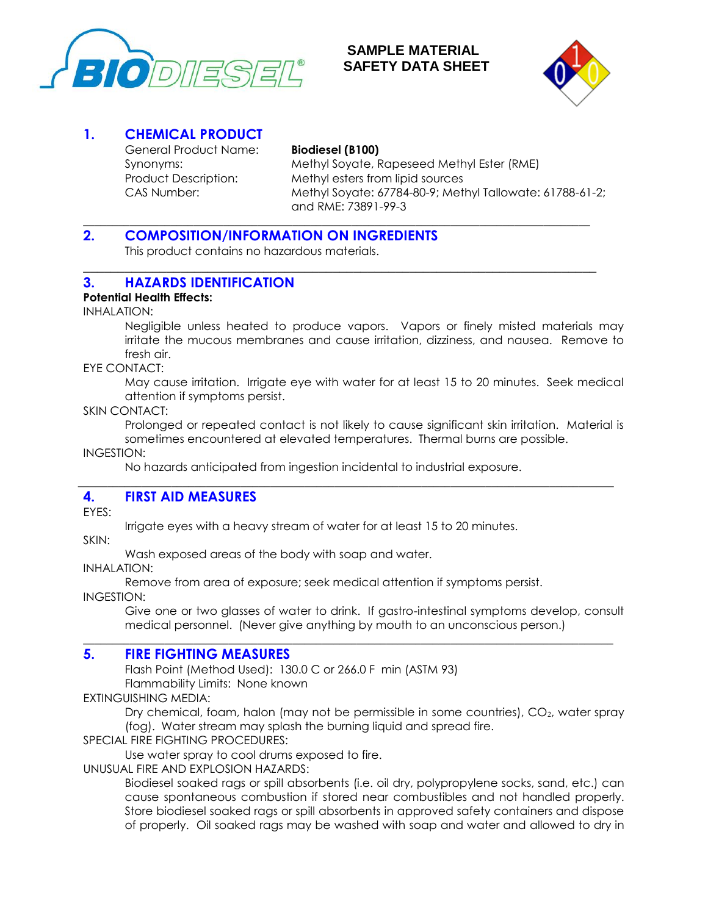

# **SAMPLE MATERIAL SAFETY DATA SHEET**



# **1. CHEMICAL PRODUCT**

General Product Name: **Biodiesel (B100)**

**\_\_\_\_\_\_\_\_\_\_\_\_\_\_\_\_\_\_\_\_\_\_\_\_\_\_\_\_\_\_\_\_\_\_\_\_\_\_\_\_\_\_\_\_\_\_\_\_\_\_\_\_\_\_\_\_\_\_\_\_\_\_\_\_\_\_\_\_\_\_\_\_\_\_\_\_\_\_\_\_\_\_\_\_\_\_\_**

**\_\_\_\_\_\_\_\_\_\_\_\_\_\_\_\_\_\_\_\_\_\_\_\_\_\_\_\_\_\_\_\_\_\_\_\_\_\_\_\_\_\_\_\_\_\_\_\_\_\_\_\_\_\_\_\_\_\_\_\_\_\_\_\_\_\_\_\_\_\_\_\_\_\_**

Synonyms: Methyl Soyate, Rapeseed Methyl Ester (RME) Product Description: Methyl esters from lipid sources CAS Number: Methyl Soyate: 67784-80-9; Methyl Tallowate: 61788-61-2; and RME: 73891-99-3

# **2. COMPOSITION/INFORMATION ON INGREDIENTS**

This product contains no hazardous materials.

# **3. HAZARDS IDENTIFICATION**

## **Potential Health Effects:**

INHALATION:

Negligible unless heated to produce vapors. Vapors or finely misted materials may irritate the mucous membranes and cause irritation, dizziness, and nausea. Remove to fresh air.

EYE CONTACT:

May cause irritation. Irrigate eye with water for at least 15 to 20 minutes. Seek medical attention if symptoms persist.

SKIN CONTACT:

Prolonged or repeated contact is not likely to cause significant skin irritation. Material is sometimes encountered at elevated temperatures. Thermal burns are possible.

INGESTION:

No hazards anticipated from ingestion incidental to industrial exposure.

\_\_\_\_\_\_\_\_\_\_\_\_\_\_\_\_\_\_\_\_\_\_\_\_\_\_\_\_\_\_\_\_\_\_\_\_\_\_\_\_\_\_\_\_\_\_\_\_\_\_\_\_\_\_\_\_\_\_\_\_\_\_\_\_\_\_\_\_\_\_\_\_\_\_\_\_\_\_\_\_\_\_\_\_\_\_\_\_\_\_\_\_

# **4. FIRST AID MEASURES**

EYES:

Irrigate eyes with a heavy stream of water for at least 15 to 20 minutes.

SKIN:

Wash exposed areas of the body with soap and water.

INHALATION:

Remove from area of exposure; seek medical attention if symptoms persist.

 $\overline{\phantom{a}}$  ,  $\overline{\phantom{a}}$  ,  $\overline{\phantom{a}}$  ,  $\overline{\phantom{a}}$  ,  $\overline{\phantom{a}}$  ,  $\overline{\phantom{a}}$  ,  $\overline{\phantom{a}}$  ,  $\overline{\phantom{a}}$  ,  $\overline{\phantom{a}}$  ,  $\overline{\phantom{a}}$  ,  $\overline{\phantom{a}}$  ,  $\overline{\phantom{a}}$  ,  $\overline{\phantom{a}}$  ,  $\overline{\phantom{a}}$  ,  $\overline{\phantom{a}}$  ,  $\overline{\phantom{a}}$ 

INGESTION:

Give one or two glasses of water to drink. If gastro-intestinal symptoms develop, consult medical personnel. (Never give anything by mouth to an unconscious person.)

# **5. FIRE FIGHTING MEASURES**

Flash Point (Method Used): 130.0 C or 266.0 F min (ASTM 93) Flammability Limits: None known

EXTINGUISHING MEDIA:

Dry chemical, foam, halon (may not be permissible in some countries), CO<sub>2</sub>, water spray (fog). Water stream may splash the burning liquid and spread fire.

SPECIAL FIRE FIGHTING PROCEDURES:

Use water spray to cool drums exposed to fire.

UNUSUAL FIRE AND EXPLOSION HAZARDS:

Biodiesel soaked rags or spill absorbents (i.e. oil dry, polypropylene socks, sand, etc.) can cause spontaneous combustion if stored near combustibles and not handled properly. Store biodiesel soaked rags or spill absorbents in approved safety containers and dispose of properly. Oil soaked rags may be washed with soap and water and allowed to dry in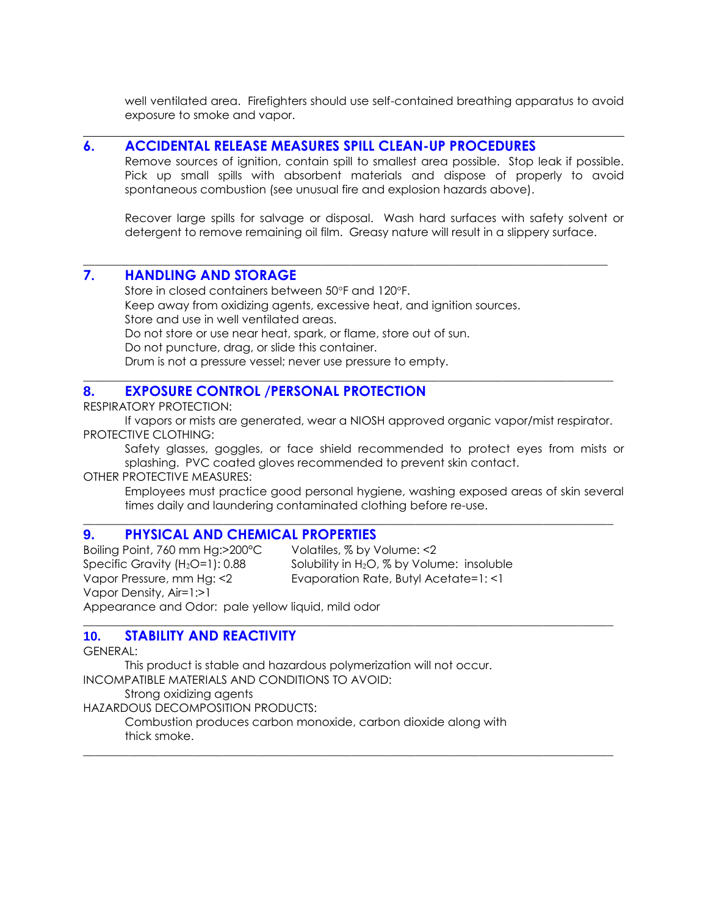well ventilated area. Firefighters should use self-contained breathing apparatus to avoid exposure to smoke and vapor.

#### **6. ACCIDENTAL RELEASE MEASURES SPILL CLEAN-UP PROCEDURES**

Remove sources of ignition, contain spill to smallest area possible. Stop leak if possible. Pick up small spills with absorbent materials and dispose of properly to avoid spontaneous combustion (see unusual fire and explosion hazards above).

Recover large spills for salvage or disposal. Wash hard surfaces with safety solvent or detergent to remove remaining oil film. Greasy nature will result in a slippery surface.

# **7. HANDLING AND STORAGE**

Store in closed containers between 50°F and 120°F. Keep away from oxidizing agents, excessive heat, and ignition sources. Store and use in well ventilated areas. Do not store or use near heat, spark, or flame, store out of sun. Do not puncture, drag, or slide this container. Drum is not a pressure vessel; never use pressure to empty.

## **8. EXPOSURE CONTROL /PERSONAL PROTECTION**

RESPIRATORY PROTECTION:

If vapors or mists are generated, wear a NIOSH approved organic vapor/mist respirator. PROTECTIVE CLOTHING:

 $\overline{\phantom{a}}$  ,  $\overline{\phantom{a}}$  ,  $\overline{\phantom{a}}$  ,  $\overline{\phantom{a}}$  ,  $\overline{\phantom{a}}$  ,  $\overline{\phantom{a}}$  ,  $\overline{\phantom{a}}$  ,  $\overline{\phantom{a}}$  ,  $\overline{\phantom{a}}$  ,  $\overline{\phantom{a}}$  ,  $\overline{\phantom{a}}$  ,  $\overline{\phantom{a}}$  ,  $\overline{\phantom{a}}$  ,  $\overline{\phantom{a}}$  ,  $\overline{\phantom{a}}$  ,  $\overline{\phantom{a}}$ 

 $\overline{\phantom{a}}$  ,  $\overline{\phantom{a}}$  ,  $\overline{\phantom{a}}$  ,  $\overline{\phantom{a}}$  ,  $\overline{\phantom{a}}$  ,  $\overline{\phantom{a}}$  ,  $\overline{\phantom{a}}$  ,  $\overline{\phantom{a}}$  ,  $\overline{\phantom{a}}$  ,  $\overline{\phantom{a}}$  ,  $\overline{\phantom{a}}$  ,  $\overline{\phantom{a}}$  ,  $\overline{\phantom{a}}$  ,  $\overline{\phantom{a}}$  ,  $\overline{\phantom{a}}$  ,  $\overline{\phantom{a}}$ 

 $\overline{\phantom{a}}$  ,  $\overline{\phantom{a}}$  ,  $\overline{\phantom{a}}$  ,  $\overline{\phantom{a}}$  ,  $\overline{\phantom{a}}$  ,  $\overline{\phantom{a}}$  ,  $\overline{\phantom{a}}$  ,  $\overline{\phantom{a}}$  ,  $\overline{\phantom{a}}$  ,  $\overline{\phantom{a}}$  ,  $\overline{\phantom{a}}$  ,  $\overline{\phantom{a}}$  ,  $\overline{\phantom{a}}$  ,  $\overline{\phantom{a}}$  ,  $\overline{\phantom{a}}$  ,  $\overline{\phantom{a}}$ 

 $\overline{\phantom{a}}$  ,  $\overline{\phantom{a}}$  ,  $\overline{\phantom{a}}$  ,  $\overline{\phantom{a}}$  ,  $\overline{\phantom{a}}$  ,  $\overline{\phantom{a}}$  ,  $\overline{\phantom{a}}$  ,  $\overline{\phantom{a}}$  ,  $\overline{\phantom{a}}$  ,  $\overline{\phantom{a}}$  ,  $\overline{\phantom{a}}$  ,  $\overline{\phantom{a}}$  ,  $\overline{\phantom{a}}$  ,  $\overline{\phantom{a}}$  ,  $\overline{\phantom{a}}$  ,  $\overline{\phantom{a}}$ 

\_\_\_\_\_\_\_\_\_\_\_\_\_\_\_\_\_\_\_\_\_\_\_\_\_\_\_\_\_\_\_\_\_\_\_\_\_\_\_\_\_\_\_\_\_\_\_\_\_\_\_\_\_\_\_\_\_\_\_\_\_\_\_\_\_\_\_\_\_\_\_\_\_\_\_\_\_\_\_\_\_\_\_\_\_\_\_\_\_\_

Safety glasses, goggles, or face shield recommended to protect eyes from mists or splashing. PVC coated gloves recommended to prevent skin contact.

OTHER PROTECTIVE MEASURES:

Employees must practice good personal hygiene, washing exposed areas of skin several times daily and laundering contaminated clothing before re-use.

## **9. PHYSICAL AND CHEMICAL PROPERTIES**

Boiling Point, 760 mm Hg:>200°C Volatiles, % by Volume: <2 Specific Gravity  $(H_2O=1)$ : 0.88 Solubility in  $H_2O$ , % by Volume: insoluble Vapor Pressure, mm Hg: <2 Evaporation Rate, Butyl Acetate=1: <1 Vapor Density, Air=1:>1 Appearance and Odor: pale yellow liquid, mild odor

#### **10. STABILITY AND REACTIVITY**

GENERAL:

This product is stable and hazardous polymerization will not occur. INCOMPATIBLE MATERIALS AND CONDITIONS TO AVOID:

Strong oxidizing agents

HAZARDOUS DECOMPOSITION PRODUCTS:

Combustion produces carbon monoxide, carbon dioxide along with thick smoke.